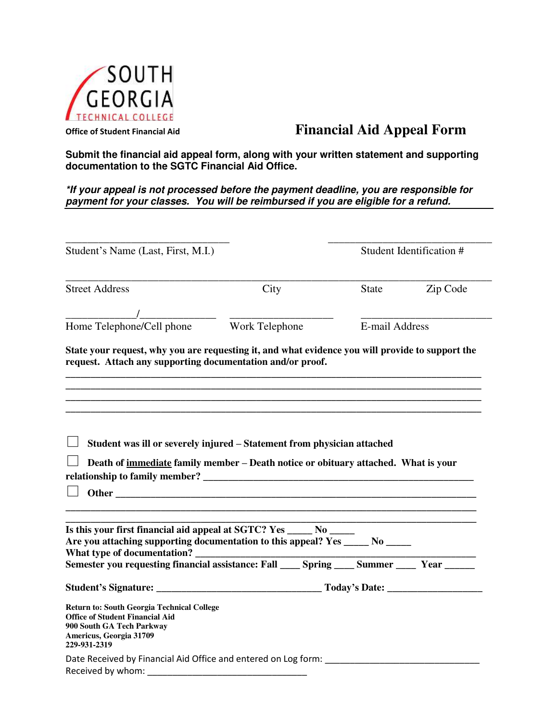

## **Office of Student Financial Aid Financial Aid Appeal Form**

**Submit the financial aid appeal form, along with your written statement and supporting documentation to the SGTC Financial Aid Office.** 

*\*If your appeal is not processed before the payment deadline, you are responsible for payment for your classes. You will be reimbursed if you are eligible for a refund.* 

| Student's Name (Last, First, M.I.)                                                                                                                                                     |      | Student Identification # |          |
|----------------------------------------------------------------------------------------------------------------------------------------------------------------------------------------|------|--------------------------|----------|
| <b>Street Address</b>                                                                                                                                                                  | City | State                    | Zip Code |
|                                                                                                                                                                                        |      |                          |          |
| Home Telephone/Cell phone Work Telephone                                                                                                                                               |      | E-mail Address           |          |
| State your request, why you are requesting it, and what evidence you will provide to support the<br>request. Attach any supporting documentation and/or proof.                         |      |                          |          |
| Death of <u>immediate</u> family member – Death notice or obituary attached. What is your                                                                                              |      |                          |          |
| Is this your first financial aid appeal at SGTC? Yes ______ No ______<br>Are you attaching supporting documentation to this appeal? Yes ______ No _____<br>What type of documentation? |      |                          |          |
|                                                                                                                                                                                        |      |                          |          |
| <b>Return to: South Georgia Technical College</b><br><b>Office of Student Financial Aid</b><br>900 South GA Tech Parkway<br>Americus, Georgia 31709<br>229-931-2319                    |      |                          |          |
| Date Received by Financial Aid Office and entered on Log form:<br>Received by whom:                                                                                                    |      |                          |          |